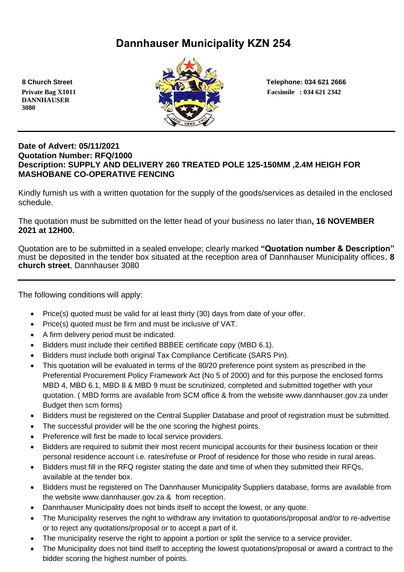# **Dannhauser Municipality KZN 254**

 **DANNHAUSER 3080** 



 **8 Church Street Telephone: 034 621 2666**

# **Date of Advert: 05/11/2021 Quotation Number: RFQ/1000 Description: SUPPLY AND DELIVERY 260 TREATED POLE 125-150MM ,2.4M HEIGH FOR MASHOBANE CO-OPERATIVE FENCING**

Kindly furnish us with a written quotation for the supply of the goods/services as detailed in the enclosed schedule.

The quotation must be submitted on the letter head of your business no later than**, 16 NOVEMBER 2021 at 12H00.**

Quotation are to be submitted in a sealed envelope; clearly marked **"Quotation number & Description"** must be deposited in the tender box situated at the reception area of Dannhauser Municipality offices, **8 church street**, Dannhauser 3080

The following conditions will apply:

- Price(s) quoted must be valid for at least thirty (30) days from date of your offer.
- Price(s) quoted must be firm and must be inclusive of VAT.
- A firm delivery period must be indicated.
- Bidders must include their certified BBBEE certificate copy (MBD 6.1).
- Bidders must include both original Tax Compliance Certificate (SARS Pin).
- This quotation will be evaluated in terms of the 80/20 preference point system as prescribed in the Preferential Procurement Policy Framework Act (No 5 of 2000) and for this purpose the enclosed forms MBD 4, MBD 6.1, MBD 8 & MBD 9 must be scrutinized, completed and submitted together with your quotation. ( MBD forms are available from SCM office & from the website www.dannhauser.gov.za under Budget then scm forms)
- Bidders must be registered on the Central Supplier Database and proof of registration must be submitted.
- The successful provider will be the one scoring the highest points.
- Preference will first be made to local service providers.
- Bidders are required to submit their most recent municipal accounts for their business location or their personal residence account i.e. rates/refuse or Proof of residence for those who reside in rural areas.
- Bidders must fill in the RFQ register stating the date and time of when they submitted their RFQs, available at the tender box.
- Bidders must be registered on The Dannhauser Municipality Suppliers database, forms are available from the website www.dannhauser.gov.za & from reception.
- Dannhauser Municipality does not binds itself to accept the lowest, or any quote.
- The Municipality reserves the right to withdraw any invitation to quotations/proposal and/or to re-advertise or to reject any quotations/proposal or to accept a part of it.
- The municipality reserve the right to appoint a portion or split the service to a service provider.
- The Municipality does not bind itself to accepting the lowest quotations/proposal or award a contract to the bidder scoring the highest number of points.